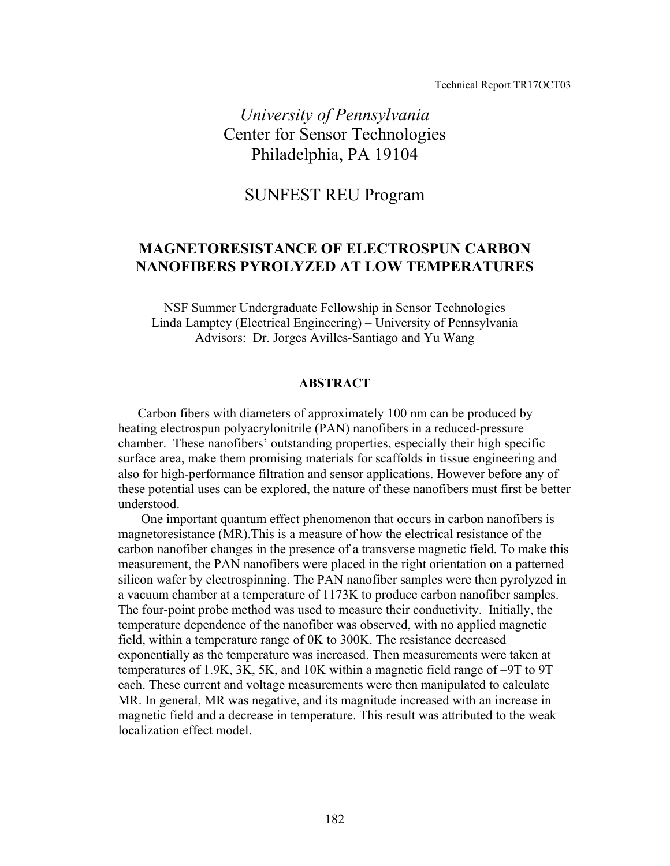Technical Report TR17OCT03

*University of Pennsylvania*  Center for Sensor Technologies Philadelphia, PA 19104

# SUNFEST REU Program

## **MAGNETORESISTANCE OF ELECTROSPUN CARBON NANOFIBERS PYROLYZED AT LOW TEMPERATURES**

NSF Summer Undergraduate Fellowship in Sensor Technologies Linda Lamptey (Electrical Engineering) – University of Pennsylvania Advisors: Dr. Jorges Avilles-Santiago and Yu Wang

### **ABSTRACT**

Carbon fibers with diameters of approximately 100 nm can be produced by heating electrospun polyacrylonitrile (PAN) nanofibers in a reduced-pressure chamber. These nanofibers' outstanding properties, especially their high specific surface area, make them promising materials for scaffolds in tissue engineering and also for high-performance filtration and sensor applications. However before any of these potential uses can be explored, the nature of these nanofibers must first be better understood.

 One important quantum effect phenomenon that occurs in carbon nanofibers is magnetoresistance (MR).This is a measure of how the electrical resistance of the carbon nanofiber changes in the presence of a transverse magnetic field. To make this measurement, the PAN nanofibers were placed in the right orientation on a patterned silicon wafer by electrospinning. The PAN nanofiber samples were then pyrolyzed in a vacuum chamber at a temperature of 1173K to produce carbon nanofiber samples. The four-point probe method was used to measure their conductivity. Initially, the temperature dependence of the nanofiber was observed, with no applied magnetic field, within a temperature range of 0K to 300K. The resistance decreased exponentially as the temperature was increased. Then measurements were taken at temperatures of 1.9K, 3K, 5K, and 10K within a magnetic field range of –9T to 9T each. These current and voltage measurements were then manipulated to calculate MR. In general, MR was negative, and its magnitude increased with an increase in magnetic field and a decrease in temperature. This result was attributed to the weak localization effect model.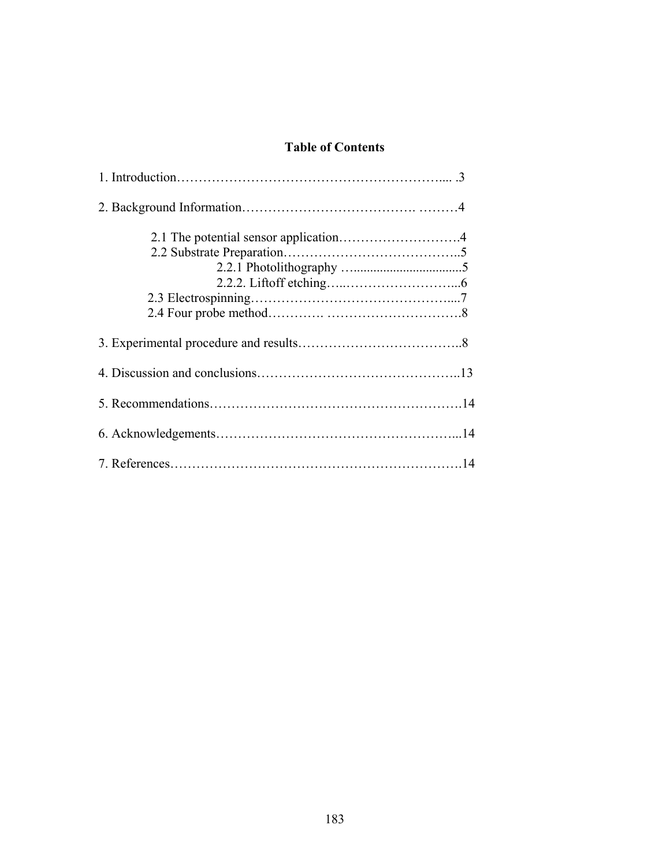# **Table of Contents**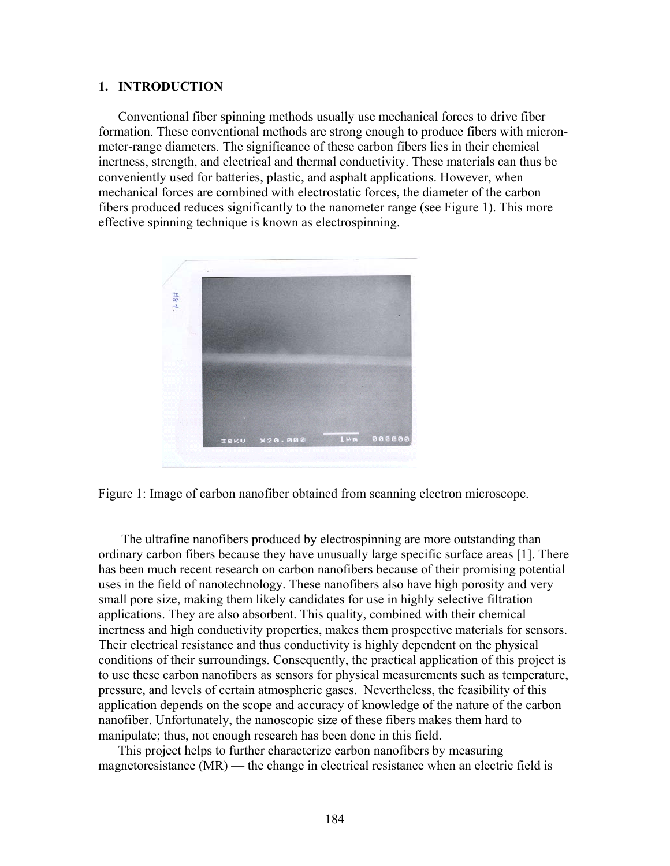### **1. INTRODUCTION**

Conventional fiber spinning methods usually use mechanical forces to drive fiber formation. These conventional methods are strong enough to produce fibers with micronmeter-range diameters. The significance of these carbon fibers lies in their chemical inertness, strength, and electrical and thermal conductivity. These materials can thus be conveniently used for batteries, plastic, and asphalt applications. However, when mechanical forces are combined with electrostatic forces, the diameter of the carbon fibers produced reduces significantly to the nanometer range (see Figure 1). This more effective spinning technique is known as electrospinning.



Figure 1: Image of carbon nanofiber obtained from scanning electron microscope.

 The ultrafine nanofibers produced by electrospinning are more outstanding than ordinary carbon fibers because they have unusually large specific surface areas [1]. There has been much recent research on carbon nanofibers because of their promising potential uses in the field of nanotechnology. These nanofibers also have high porosity and very small pore size, making them likely candidates for use in highly selective filtration applications. They are also absorbent. This quality, combined with their chemical inertness and high conductivity properties, makes them prospective materials for sensors. Their electrical resistance and thus conductivity is highly dependent on the physical conditions of their surroundings. Consequently, the practical application of this project is to use these carbon nanofibers as sensors for physical measurements such as temperature, pressure, and levels of certain atmospheric gases. Nevertheless, the feasibility of this application depends on the scope and accuracy of knowledge of the nature of the carbon nanofiber. Unfortunately, the nanoscopic size of these fibers makes them hard to manipulate; thus, not enough research has been done in this field.

This project helps to further characterize carbon nanofibers by measuring magnetoresistance (MR) — the change in electrical resistance when an electric field is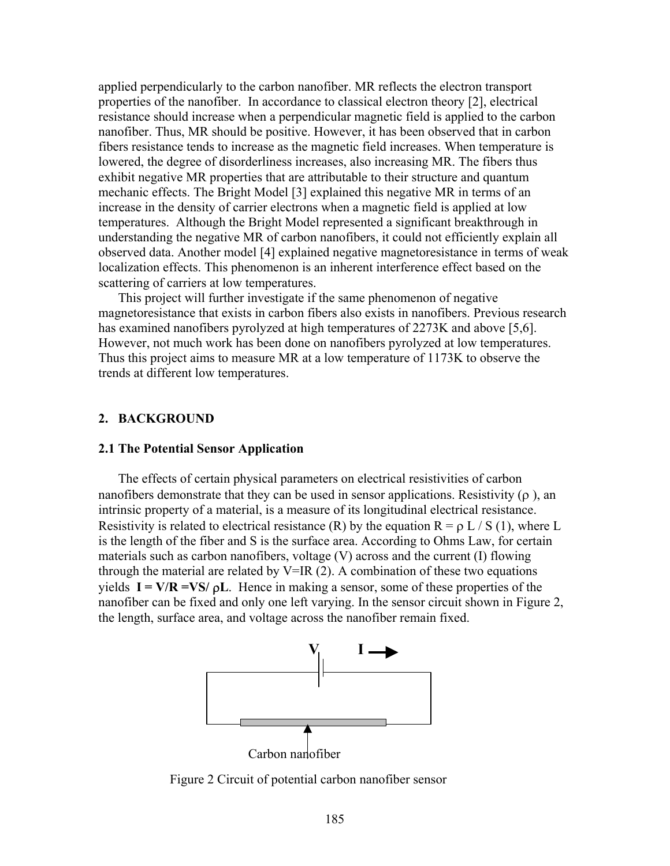applied perpendicularly to the carbon nanofiber. MR reflects the electron transport properties of the nanofiber. In accordance to classical electron theory [2], electrical resistance should increase when a perpendicular magnetic field is applied to the carbon nanofiber. Thus, MR should be positive. However, it has been observed that in carbon fibers resistance tends to increase as the magnetic field increases. When temperature is lowered, the degree of disorderliness increases, also increasing MR. The fibers thus exhibit negative MR properties that are attributable to their structure and quantum mechanic effects. The Bright Model [3] explained this negative MR in terms of an increase in the density of carrier electrons when a magnetic field is applied at low temperatures. Although the Bright Model represented a significant breakthrough in understanding the negative MR of carbon nanofibers, it could not efficiently explain all observed data. Another model [4] explained negative magnetoresistance in terms of weak localization effects. This phenomenon is an inherent interference effect based on the scattering of carriers at low temperatures.

This project will further investigate if the same phenomenon of negative magnetoresistance that exists in carbon fibers also exists in nanofibers. Previous research has examined nanofibers pyrolyzed at high temperatures of 2273K and above [5,6]. However, not much work has been done on nanofibers pyrolyzed at low temperatures. Thus this project aims to measure MR at a low temperature of 1173K to observe the trends at different low temperatures.

#### **2. BACKGROUND**

#### **2.1 The Potential Sensor Application**

The effects of certain physical parameters on electrical resistivities of carbon nanofibers demonstrate that they can be used in sensor applications. Resistivity  $(\rho)$ , an intrinsic property of a material, is a measure of its longitudinal electrical resistance. Resistivity is related to electrical resistance (R) by the equation  $R = \rho L / S(1)$ , where L is the length of the fiber and S is the surface area. According to Ohms Law, for certain materials such as carbon nanofibers, voltage (V) across and the current (I) flowing through the material are related by  $V=IR(2)$ . A combination of these two equations yields  $I = V/R = VS/\rho L$ . Hence in making a sensor, some of these properties of the nanofiber can be fixed and only one left varying. In the sensor circuit shown in Figure 2, the length, surface area, and voltage across the nanofiber remain fixed.



Figure 2 Circuit of potential carbon nanofiber sensor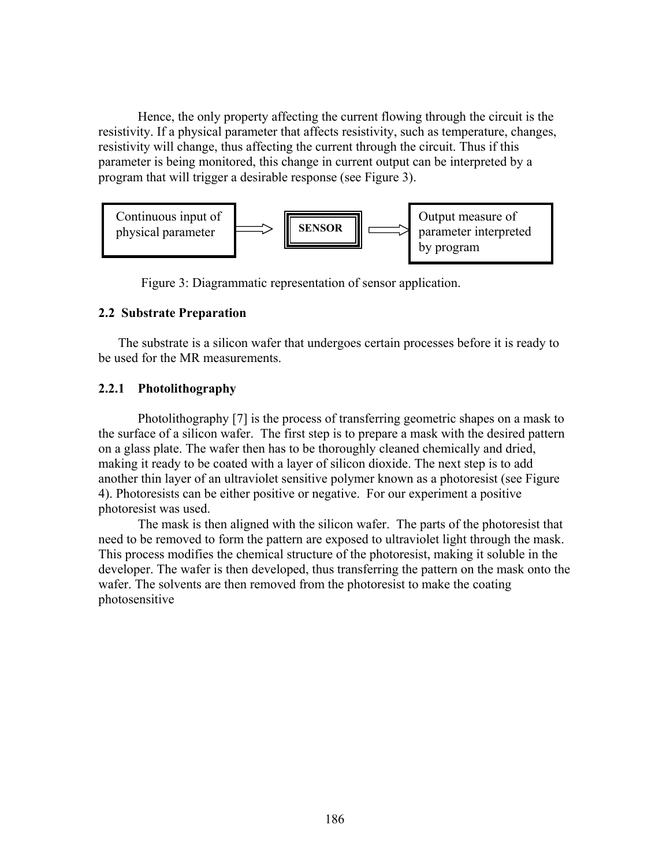Hence, the only property affecting the current flowing through the circuit is the resistivity. If a physical parameter that affects resistivity, such as temperature, changes, resistivity will change, thus affecting the current through the circuit. Thus if this parameter is being monitored, this change in current output can be interpreted by a program that will trigger a desirable response (see Figure 3).



Figure 3: Diagrammatic representation of sensor application.

## **2.2 Substrate Preparation**

The substrate is a silicon wafer that undergoes certain processes before it is ready to be used for the MR measurements.

## **2.2.1 Photolithography**

Photolithography [7] is the process of transferring geometric shapes on a mask to the surface of a silicon wafer. The first step is to prepare a mask with the desired pattern on a glass plate. The wafer then has to be thoroughly cleaned chemically and dried, making it ready to be coated with a layer of silicon dioxide. The next step is to add another thin layer of an ultraviolet sensitive polymer known as a photoresist (see Figure 4). Photoresists can be either positive or negative. For our experiment a positive photoresist was used.

The mask is then aligned with the silicon wafer. The parts of the photoresist that need to be removed to form the pattern are exposed to ultraviolet light through the mask. This process modifies the chemical structure of the photoresist, making it soluble in the developer. The wafer is then developed, thus transferring the pattern on the mask onto the wafer. The solvents are then removed from the photoresist to make the coating photosensitive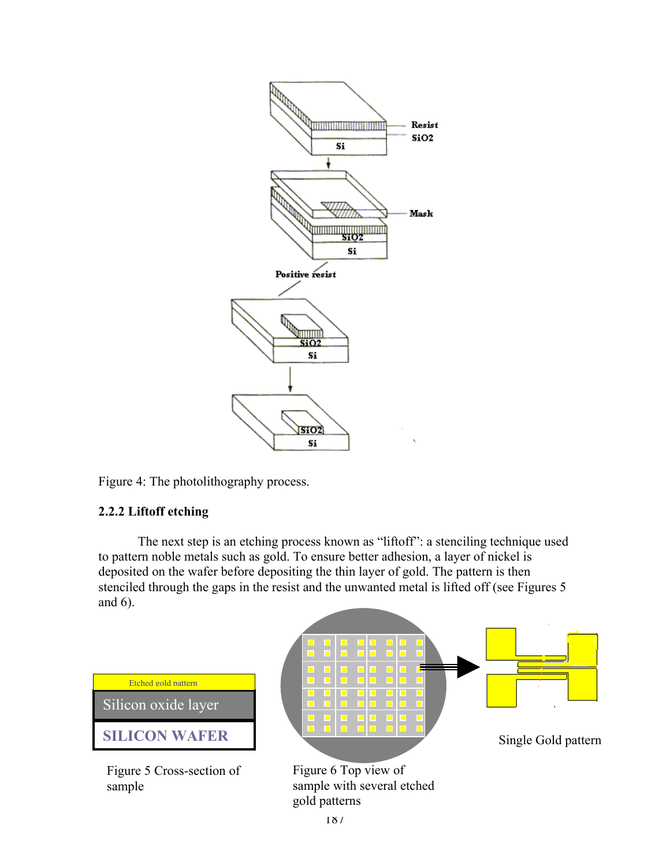

Figure 4: The photolithography process.

## **2.2.2 Liftoff etching**

The next step is an etching process known as "liftoff": a stenciling technique used to pattern noble metals such as gold. To ensure better adhesion, a layer of nickel is deposited on the wafer before depositing the thin layer of gold. The pattern is then stenciled through the gaps in the resist and the unwanted metal is lifted off (see Figures 5 and 6).



Figure 5 Cross-section of sample



Figure 6 Top view of sample with several etched gold patterns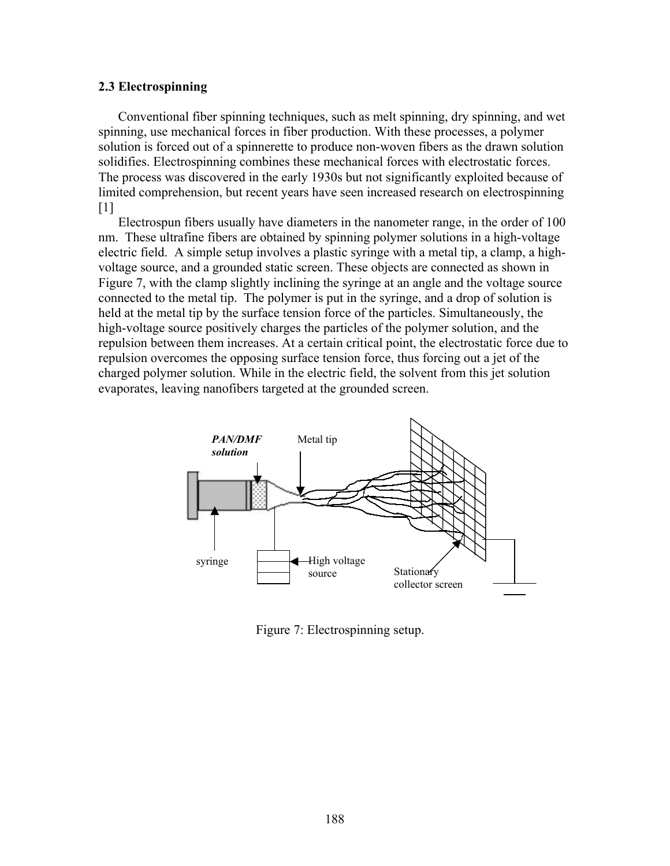### **2.3 Electrospinning**

Conventional fiber spinning techniques, such as melt spinning, dry spinning, and wet spinning, use mechanical forces in fiber production. With these processes, a polymer solution is forced out of a spinnerette to produce non-woven fibers as the drawn solution solidifies. Electrospinning combines these mechanical forces with electrostatic forces. The process was discovered in the early 1930s but not significantly exploited because of limited comprehension, but recent years have seen increased research on electrospinning [1]

Electrospun fibers usually have diameters in the nanometer range, in the order of 100 nm. These ultrafine fibers are obtained by spinning polymer solutions in a high-voltage electric field. A simple setup involves a plastic syringe with a metal tip, a clamp, a highvoltage source, and a grounded static screen. These objects are connected as shown in Figure 7, with the clamp slightly inclining the syringe at an angle and the voltage source connected to the metal tip. The polymer is put in the syringe, and a drop of solution is held at the metal tip by the surface tension force of the particles. Simultaneously, the high-voltage source positively charges the particles of the polymer solution, and the repulsion between them increases. At a certain critical point, the electrostatic force due to repulsion overcomes the opposing surface tension force, thus forcing out a jet of the charged polymer solution. While in the electric field, the solvent from this jet solution evaporates, leaving nanofibers targeted at the grounded screen.



Figure 7: Electrospinning setup.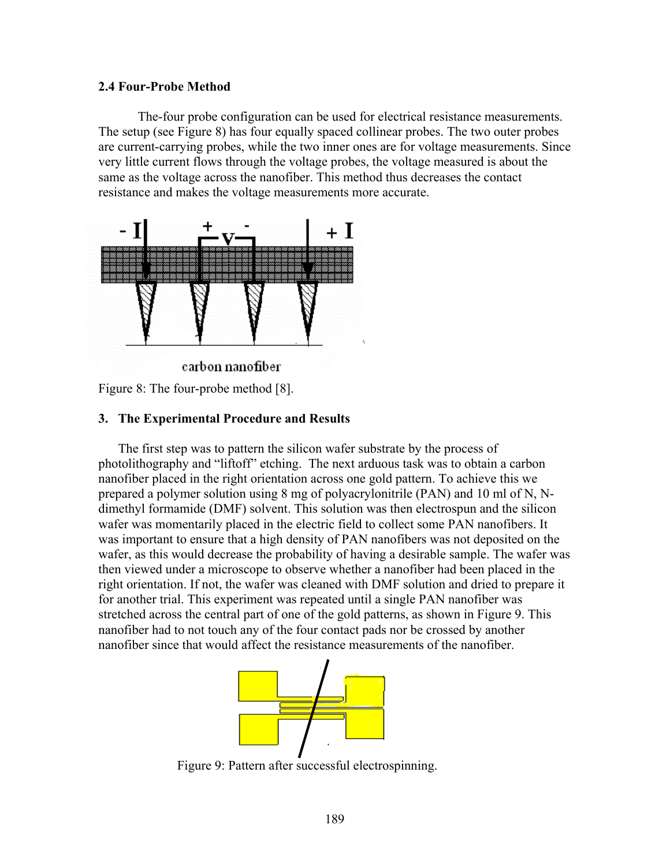### **2.4 Four-Probe Method**

The-four probe configuration can be used for electrical resistance measurements. The setup (see Figure 8) has four equally spaced collinear probes. The two outer probes are current-carrying probes, while the two inner ones are for voltage measurements. Since very little current flows through the voltage probes, the voltage measured is about the same as the voltage across the nanofiber. This method thus decreases the contact resistance and makes the voltage measurements more accurate.



Figure 8: The four-probe method [8].

## **3. The Experimental Procedure and Results**

The first step was to pattern the silicon wafer substrate by the process of photolithography and "liftoff" etching. The next arduous task was to obtain a carbon nanofiber placed in the right orientation across one gold pattern. To achieve this we prepared a polymer solution using 8 mg of polyacrylonitrile (PAN) and 10 ml of N, Ndimethyl formamide (DMF) solvent. This solution was then electrospun and the silicon wafer was momentarily placed in the electric field to collect some PAN nanofibers. It was important to ensure that a high density of PAN nanofibers was not deposited on the wafer, as this would decrease the probability of having a desirable sample. The wafer was then viewed under a microscope to observe whether a nanofiber had been placed in the right orientation. If not, the wafer was cleaned with DMF solution and dried to prepare it for another trial. This experiment was repeated until a single PAN nanofiber was stretched across the central part of one of the gold patterns, as shown in Figure 9. This nanofiber had to not touch any of the four contact pads nor be crossed by another nanofiber since that would affect the resistance measurements of the nanofiber.



Figure 9: Pattern after successful electrospinning.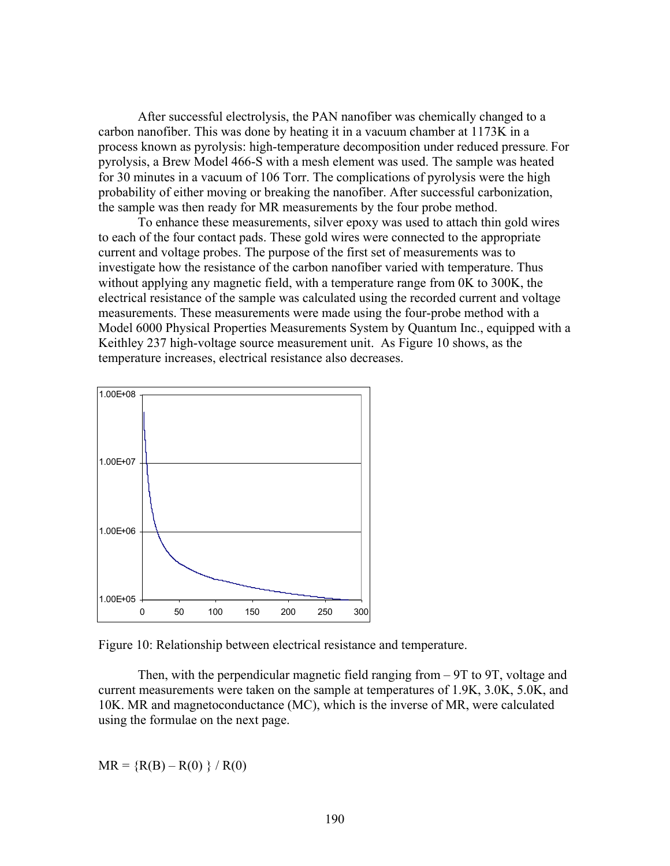After successful electrolysis, the PAN nanofiber was chemically changed to a carbon nanofiber. This was done by heating it in a vacuum chamber at 1173K in a process known as pyrolysis: high-temperature decomposition under reduced pressure. For pyrolysis, a Brew Model 466-S with a mesh element was used. The sample was heated for 30 minutes in a vacuum of 106 Torr. The complications of pyrolysis were the high probability of either moving or breaking the nanofiber. After successful carbonization, the sample was then ready for MR measurements by the four probe method.

To enhance these measurements, silver epoxy was used to attach thin gold wires to each of the four contact pads. These gold wires were connected to the appropriate current and voltage probes. The purpose of the first set of measurements was to investigate how the resistance of the carbon nanofiber varied with temperature. Thus without applying any magnetic field, with a temperature range from 0K to 300K, the electrical resistance of the sample was calculated using the recorded current and voltage measurements. These measurements were made using the four-probe method with a Model 6000 Physical Properties Measurements System by Quantum Inc., equipped with a Keithley 237 high-voltage source measurement unit. As Figure 10 shows, as the temperature increases, electrical resistance also decreases.



Figure 10: Relationship between electrical resistance and temperature.

Then, with the perpendicular magnetic field ranging from – 9T to 9T, voltage and current measurements were taken on the sample at temperatures of 1.9K, 3.0K, 5.0K, and 10K. MR and magnetoconductance (MC), which is the inverse of MR, were calculated using the formulae on the next page.

 $MR = {R(B) - R(0)} / R(0)$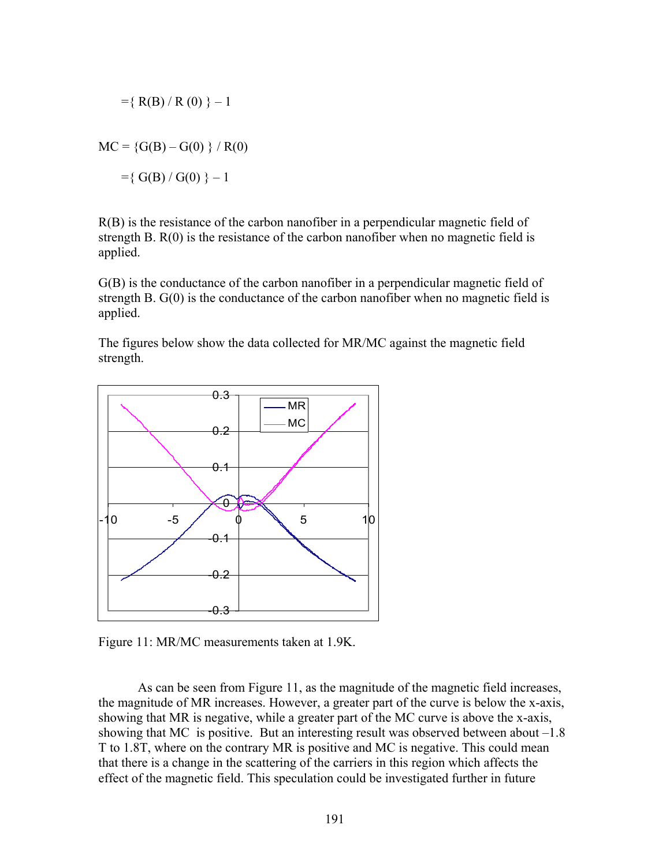$$
= \{ R(B) / R(0) \} - 1
$$
  
MC = {G(B) – G(0)} / R(0)  
= {G(B) / G(0)} - 1

R(B) is the resistance of the carbon nanofiber in a perpendicular magnetic field of strength B. R(0) is the resistance of the carbon nanofiber when no magnetic field is applied.

G(B) is the conductance of the carbon nanofiber in a perpendicular magnetic field of strength B. G(0) is the conductance of the carbon nanofiber when no magnetic field is applied.

The figures below show the data collected for MR/MC against the magnetic field strength.



Figure 11: MR/MC measurements taken at 1.9K.

As can be seen from Figure 11, as the magnitude of the magnetic field increases, the magnitude of MR increases. However, a greater part of the curve is below the x-axis, showing that MR is negative, while a greater part of the MC curve is above the x-axis, showing that MC is positive. But an interesting result was observed between about –1.8 T to 1.8T, where on the contrary MR is positive and MC is negative. This could mean that there is a change in the scattering of the carriers in this region which affects the effect of the magnetic field. This speculation could be investigated further in future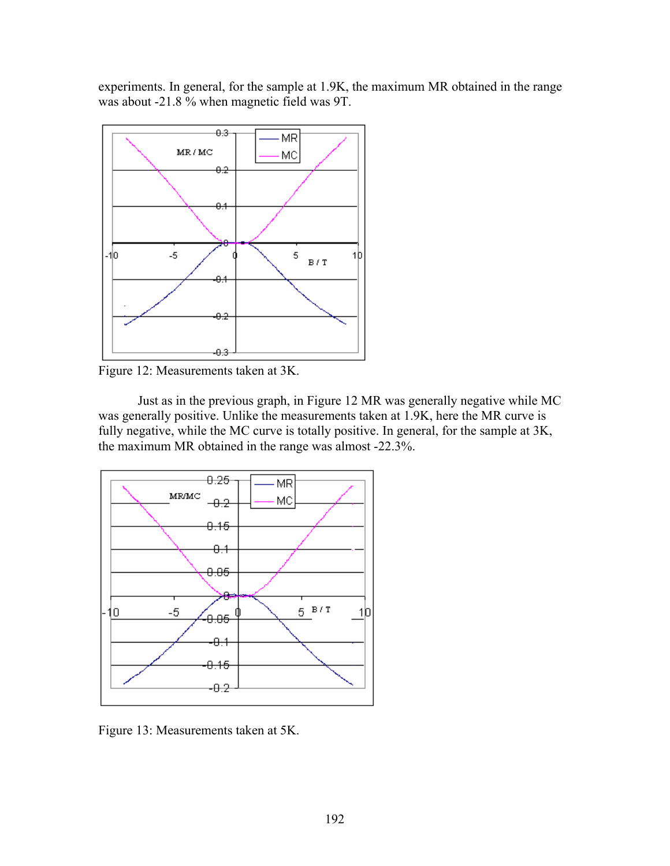experiments. In general, for the sample at 1.9K, the maximum MR obtained in the range was about -21.8 % when magnetic field was 9T.



Figure 12: Measurements taken at 3K.

Just as in the previous graph, in Figure 12 MR was generally negative while MC was generally positive. Unlike the measurements taken at 1.9K, here the MR curve is fully negative, while the MC curve is totally positive. In general, for the sample at 3K, the maximum MR obtained in the range was almost -22.3%.



Figure 13: Measurements taken at 5K.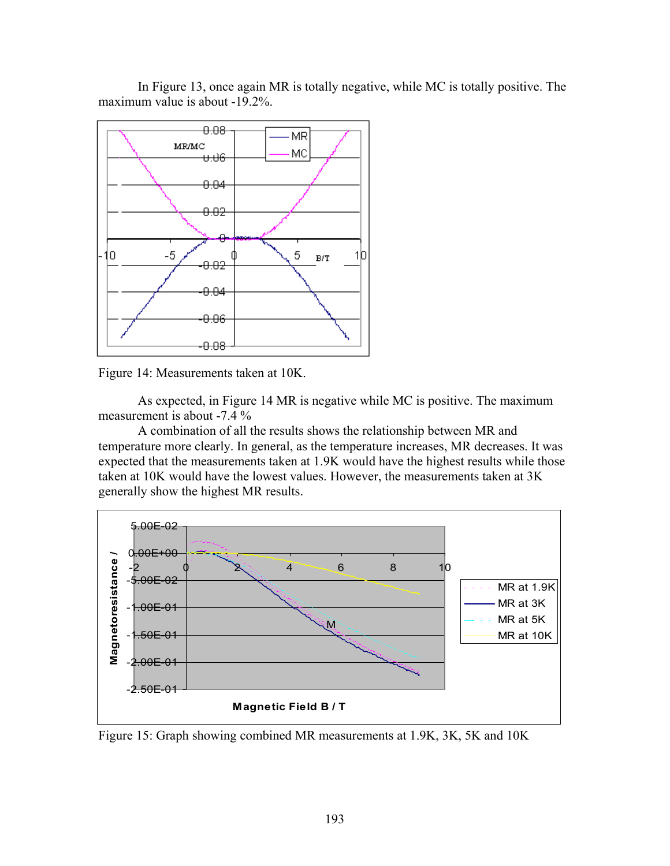In Figure 13, once again MR is totally negative, while MC is totally positive. The maximum value is about -19.2%.





As expected, in Figure 14 MR is negative while MC is positive. The maximum measurement is about -7.4 %

A combination of all the results shows the relationship between MR and temperature more clearly. In general, as the temperature increases, MR decreases. It was expected that the measurements taken at 1.9K would have the highest results while those taken at 10K would have the lowest values. However, the measurements taken at 3K generally show the highest MR results.



Figure 15: Graph showing combined MR measurements at 1.9K, 3K, 5K and 10K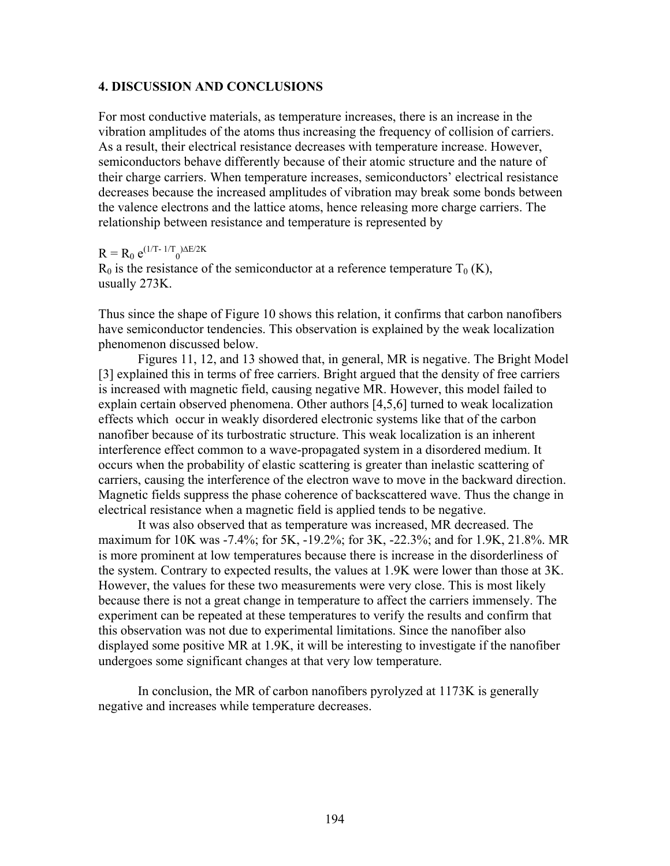### **4. DISCUSSION AND CONCLUSIONS**

For most conductive materials, as temperature increases, there is an increase in the vibration amplitudes of the atoms thus increasing the frequency of collision of carriers. As a result, their electrical resistance decreases with temperature increase. However, semiconductors behave differently because of their atomic structure and the nature of their charge carriers. When temperature increases, semiconductors' electrical resistance decreases because the increased amplitudes of vibration may break some bonds between the valence electrons and the lattice atoms, hence releasing more charge carriers. The relationship between resistance and temperature is represented by

# $R = R_0 e^{(1/T - 1/T_0)\Delta E/2K}$

 $R_0$  is the resistance of the semiconductor at a reference temperature  $T_0$  (K), usually 273K.

Thus since the shape of Figure 10 shows this relation, it confirms that carbon nanofibers have semiconductor tendencies. This observation is explained by the weak localization phenomenon discussed below.

Figures 11, 12, and 13 showed that, in general, MR is negative. The Bright Model [3] explained this in terms of free carriers. Bright argued that the density of free carriers is increased with magnetic field, causing negative MR. However, this model failed to explain certain observed phenomena. Other authors [4,5,6] turned to weak localization effects which occur in weakly disordered electronic systems like that of the carbon nanofiber because of its turbostratic structure. This weak localization is an inherent interference effect common to a wave-propagated system in a disordered medium. It occurs when the probability of elastic scattering is greater than inelastic scattering of carriers, causing the interference of the electron wave to move in the backward direction. Magnetic fields suppress the phase coherence of backscattered wave. Thus the change in electrical resistance when a magnetic field is applied tends to be negative.

It was also observed that as temperature was increased, MR decreased. The maximum for 10K was -7.4%; for 5K, -19.2%; for 3K, -22.3%; and for 1.9K, 21.8%. MR is more prominent at low temperatures because there is increase in the disorderliness of the system. Contrary to expected results, the values at 1.9K were lower than those at 3K. However, the values for these two measurements were very close. This is most likely because there is not a great change in temperature to affect the carriers immensely. The experiment can be repeated at these temperatures to verify the results and confirm that this observation was not due to experimental limitations. Since the nanofiber also displayed some positive MR at 1.9K, it will be interesting to investigate if the nanofiber undergoes some significant changes at that very low temperature.

In conclusion, the MR of carbon nanofibers pyrolyzed at 1173K is generally negative and increases while temperature decreases.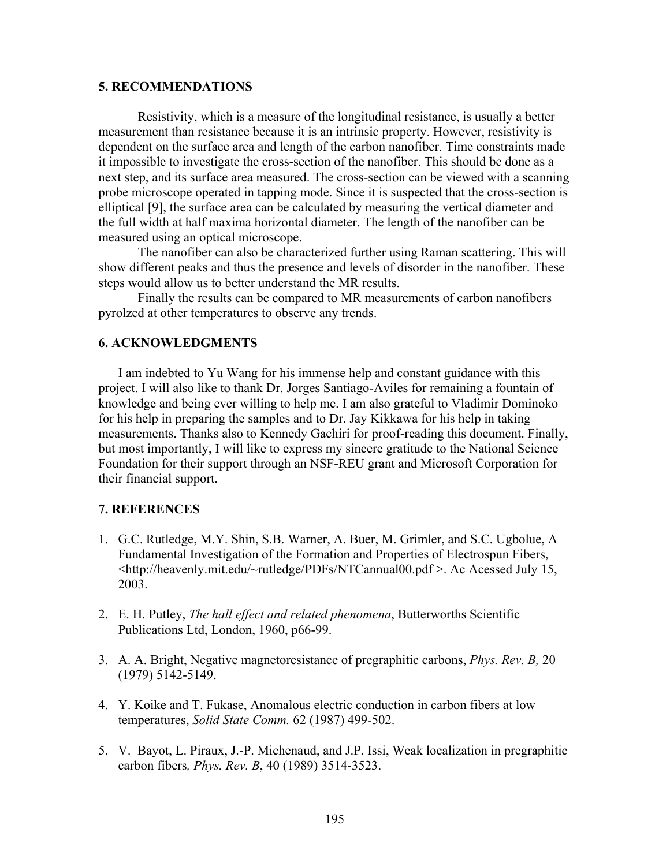### **5. RECOMMENDATIONS**

Resistivity, which is a measure of the longitudinal resistance, is usually a better measurement than resistance because it is an intrinsic property. However, resistivity is dependent on the surface area and length of the carbon nanofiber. Time constraints made it impossible to investigate the cross-section of the nanofiber. This should be done as a next step, and its surface area measured. The cross-section can be viewed with a scanning probe microscope operated in tapping mode. Since it is suspected that the cross-section is elliptical [9], the surface area can be calculated by measuring the vertical diameter and the full width at half maxima horizontal diameter. The length of the nanofiber can be measured using an optical microscope.

The nanofiber can also be characterized further using Raman scattering. This will show different peaks and thus the presence and levels of disorder in the nanofiber. These steps would allow us to better understand the MR results.

Finally the results can be compared to MR measurements of carbon nanofibers pyrolzed at other temperatures to observe any trends.

## **6. ACKNOWLEDGMENTS**

I am indebted to Yu Wang for his immense help and constant guidance with this project. I will also like to thank Dr. Jorges Santiago-Aviles for remaining a fountain of knowledge and being ever willing to help me. I am also grateful to Vladimir Dominoko for his help in preparing the samples and to Dr. Jay Kikkawa for his help in taking measurements. Thanks also to Kennedy Gachiri for proof-reading this document. Finally, but most importantly, I will like to express my sincere gratitude to the National Science Foundation for their support through an NSF-REU grant and Microsoft Corporation for their financial support.

## **7. REFERENCES**

- 1. G.C. Rutledge, M.Y. Shin, S.B. Warner, A. Buer, M. Grimler, and S.C. Ugbolue, A Fundamental Investigation of the Formation and Properties of Electrospun Fibers, <http://heavenly.mit.edu/~rutledge/PDFs/NTCannual00.pdf >. Ac Acessed July 15, 2003.
- 2. E. H. Putley, *The hall effect and related phenomena*, Butterworths Scientific Publications Ltd, London, 1960, p66-99.
- 3. A. A. Bright, Negative magnetoresistance of pregraphitic carbons, *Phys. Rev. B,* 20 (1979) 5142-5149.
- 4. Y. Koike and T. Fukase, Anomalous electric conduction in carbon fibers at low temperatures, *Solid State Comm.* 62 (1987) 499-502.
- 5. V. Bayot, L. Piraux, J.-P. Michenaud, and J.P. Issi, Weak localization in pregraphitic carbon fibers*, Phys. Rev. B*, 40 (1989) 3514-3523.